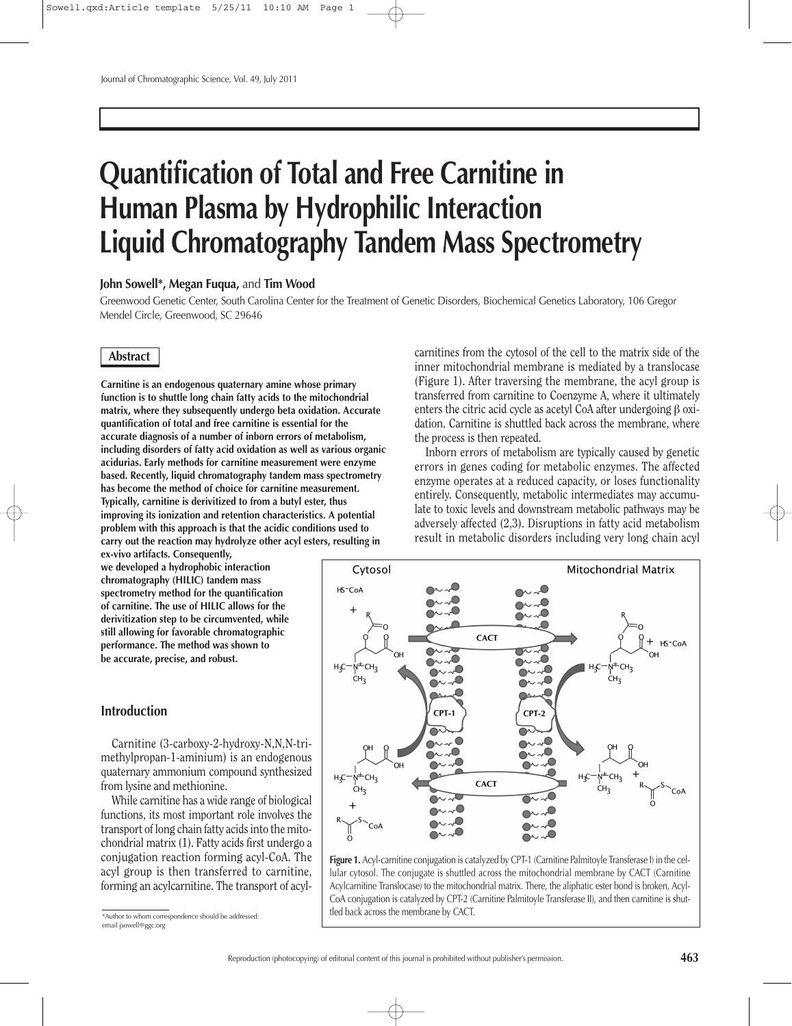# **Quantification of Total and Free Carnitine in Human Plasma by Hydrophilic Interaction Liquid Chromatography Tandem Mass Spectrometry**

## **John Sowell\*, Megan Fuqua,** and **Tim Wood**

Greenwood Genetic Center, South Carolina Center for the Treatment of Genetic Disorders, Biochemical Genetics Laboratory, 106 Gregor Mendel Circle, Greenwood, SC 29646

# **Abstract**

**Carnitine is an endogenous quaternary amine whose primary function is to shuttle long chain fatty acids to the mitochondrial matrix, where they subsequently undergo beta oxidation. Accurate quantification of total and free carnitine is essential for the accurate diagnosis of a number of inborn errors of metabolism, including disorders of fatty acid oxidation as well as various organic acidurias. Early methods for carnitine measurement were enzyme based. Recently, liquid chromatography tandem mass spectrometry has become the method of choice for carnitine measurement. Typically, carnitine is derivitized to from a butyl ester, thus improving its ionization and retention characteristics. A potential problem with this approach is that the acidic conditions used to carry out the reaction may hydrolyze other acyl esters, resulting in**

**ex-vivo artifacts. Consequently, we developed a hydrophobic interaction chromatography (HILIC) tandem mass spectrometry method for the quantification of carnitine. The use of HILIC allows for the derivitization step to be circumvented, while still allowing for favorable chromatographic performance. The method was shown to be accurate, precise, and robust.**

# **Introduction**

Carnitine (3-carboxy-2-hydroxy-N,N,N-trimethylpropan-1-aminium) is an endogenous quaternary ammonium compound synthesized from lysine and methionine.

While carnitine has a wide range of biological functions, its most important role involves the transport of long chain fatty acids into the mitochondrial matrix (1). Fatty acids first undergo a conjugation reaction forming acyl-CoA. The acyl group is then transferred to carnitine, forming an acylcarnitine. The transport of acyl-

\*Author to whom correspondence should be addressed: email jsowell@ggc.org

carnitines from the cytosol of the cell to the matrix side of the inner mitochondrial membrane is mediated by a translocase (Figure 1). After traversing the membrane, the acyl group is transferred from carnitine to Coenzyme A, where it ultimately enters the citric acid cycle as acetyl CoA after undergoing β oxidation. Carnitine is shuttled back across the membrane, where the process is then repeated.

Inborn errors of metabolism are typically caused by genetic errors in genes coding for metabolic enzymes. The affected enzyme operates at a reduced capacity, or loses functionality entirely. Consequently, metabolic intermediates may accumulate to toxic levels and downstream metabolic pathways may be adversely affected (2,3). Disruptions in fatty acid metabolism result in metabolic disorders including very long chain acyl



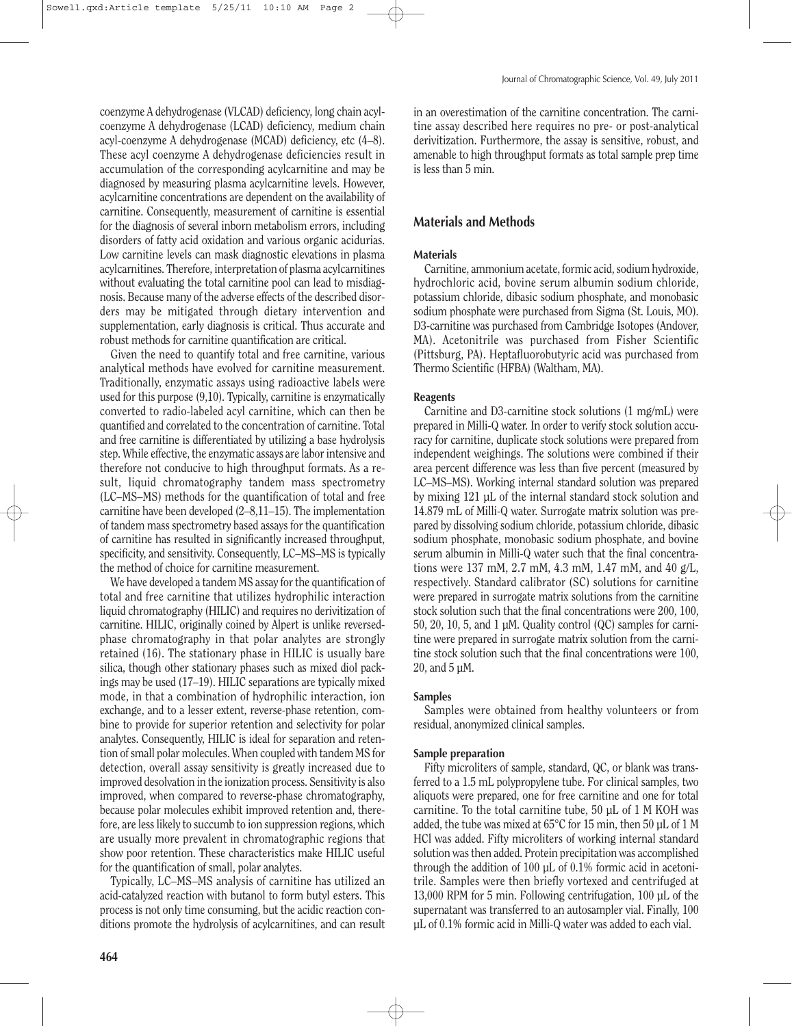coenzyme A dehydrogenase (VLCAD) deficiency, long chain acylcoenzyme A dehydrogenase (LCAD) deficiency, medium chain acyl-coenzyme A dehydrogenase (MCAD) deficiency, etc (4–8). These acyl coenzyme A dehydrogenase deficiencies result in accumulation of the corresponding acylcarnitine and may be diagnosed by measuring plasma acylcarnitine levels. However, acylcarnitine concentrations are dependent on the availability of carnitine. Consequently, measurement of carnitine is essential for the diagnosis of several inborn metabolism errors, including disorders of fatty acid oxidation and various organic acidurias. Low carnitine levels can mask diagnostic elevations in plasma acylcarnitines. Therefore, interpretation of plasma acylcarnitines without evaluating the total carnitine pool can lead to misdiagnosis. Because many of the adverse effects of the described disorders may be mitigated through dietary intervention and supplementation, early diagnosis is critical. Thus accurate and robust methods for carnitine quantification are critical.

Given the need to quantify total and free carnitine, various analytical methods have evolved for carnitine measurement. Traditionally, enzymatic assays using radioactive labels were used for this purpose (9,10). Typically, carnitine is enzymatically converted to radio-labeled acyl carnitine, which can then be quantified and correlated to the concentration of carnitine. Total and free carnitine is differentiated by utilizing a base hydrolysis step. While effective, the enzymatic assays are labor intensive and therefore not conducive to high throughput formats. As a result, liquid chromatography tandem mass spectrometry (LC–MS–MS) methods for the quantification of total and free carnitine have been developed (2–8,11–15). The implementation of tandem mass spectrometry based assays for the quantification of carnitine has resulted in significantly increased throughput, specificity, and sensitivity. Consequently, LC–MS–MS is typically the method of choice for carnitine measurement.

We have developed a tandem MS assay for the quantification of total and free carnitine that utilizes hydrophilic interaction liquid chromatography (HILIC) and requires no derivitization of carnitine. HILIC, originally coined by Alpert is unlike reversedphase chromatography in that polar analytes are strongly retained (16). The stationary phase in HILIC is usually bare silica, though other stationary phases such as mixed diol packings may be used (17–19). HILIC separations are typically mixed mode, in that a combination of hydrophilic interaction, ion exchange, and to a lesser extent, reverse-phase retention, combine to provide for superior retention and selectivity for polar analytes. Consequently, HILIC is ideal for separation and retention of small polar molecules. When coupled with tandem MS for detection, overall assay sensitivity is greatly increased due to improved desolvation in the ionization process. Sensitivity is also improved, when compared to reverse-phase chromatography, because polar molecules exhibit improved retention and, therefore, are less likely to succumb to ion suppression regions, which are usually more prevalent in chromatographic regions that show poor retention. These characteristics make HILIC useful for the quantification of small, polar analytes.

Typically, LC–MS–MS analysis of carnitine has utilized an acid-catalyzed reaction with butanol to form butyl esters. This process is not only time consuming, but the acidic reaction conditions promote the hydrolysis of acylcarnitines, and can result in an overestimation of the carnitine concentration. The carnitine assay described here requires no pre- or post-analytical derivitization. Furthermore, the assay is sensitive, robust, and amenable to high throughput formats as total sample prep time is less than 5 min.

# **Materials and Methods**

# **Materials**

Carnitine, ammonium acetate, formic acid, sodium hydroxide, hydrochloric acid, bovine serum albumin sodium chloride, potassium chloride, dibasic sodium phosphate, and monobasic sodium phosphate were purchased from Sigma (St. Louis, MO). D3-carnitine was purchased from Cambridge Isotopes (Andover, MA). Acetonitrile was purchased from Fisher Scientific (Pittsburg, PA). Heptafluorobutyric acid was purchased from Thermo Scientific (HFBA) (Waltham, MA).

## **Reagents**

Carnitine and D3-carnitine stock solutions (1 mg/mL) were prepared in Milli-Q water. In order to verify stock solution accuracy for carnitine, duplicate stock solutions were prepared from independent weighings. The solutions were combined if their area percent difference was less than five percent (measured by LC–MS–MS). Working internal standard solution was prepared by mixing 121 µL of the internal standard stock solution and 14.879 mL of Milli-Q water. Surrogate matrix solution was prepared by dissolving sodium chloride, potassium chloride, dibasic sodium phosphate, monobasic sodium phosphate, and bovine serum albumin in Milli-Q water such that the final concentrations were 137 mM, 2.7 mM, 4.3 mM, 1.47 mM, and 40 g/L, respectively. Standard calibrator (SC) solutions for carnitine were prepared in surrogate matrix solutions from the carnitine stock solution such that the final concentrations were 200, 100, 50, 20, 10, 5, and 1 µM. Quality control (QC) samples for carnitine were prepared in surrogate matrix solution from the carnitine stock solution such that the final concentrations were 100, 20, and 5 µM.

# **Samples**

Samples were obtained from healthy volunteers or from residual, anonymized clinical samples.

## **Sample preparation**

Fifty microliters of sample, standard, QC, or blank was transferred to a 1.5 mL polypropylene tube. For clinical samples, two aliquots were prepared, one for free carnitine and one for total carnitine. To the total carnitine tube, 50 µL of 1 M KOH was added, the tube was mixed at 65°C for 15 min, then 50 µL of 1 M HCl was added. Fifty microliters of working internal standard solution was then added. Protein precipitation was accomplished through the addition of 100 µL of 0.1% formic acid in acetonitrile. Samples were then briefly vortexed and centrifuged at 13,000 RPM for 5 min. Following centrifugation, 100 µL of the supernatant was transferred to an autosampler vial. Finally, 100 µL of 0.1% formic acid in Milli-Q water was added to each vial.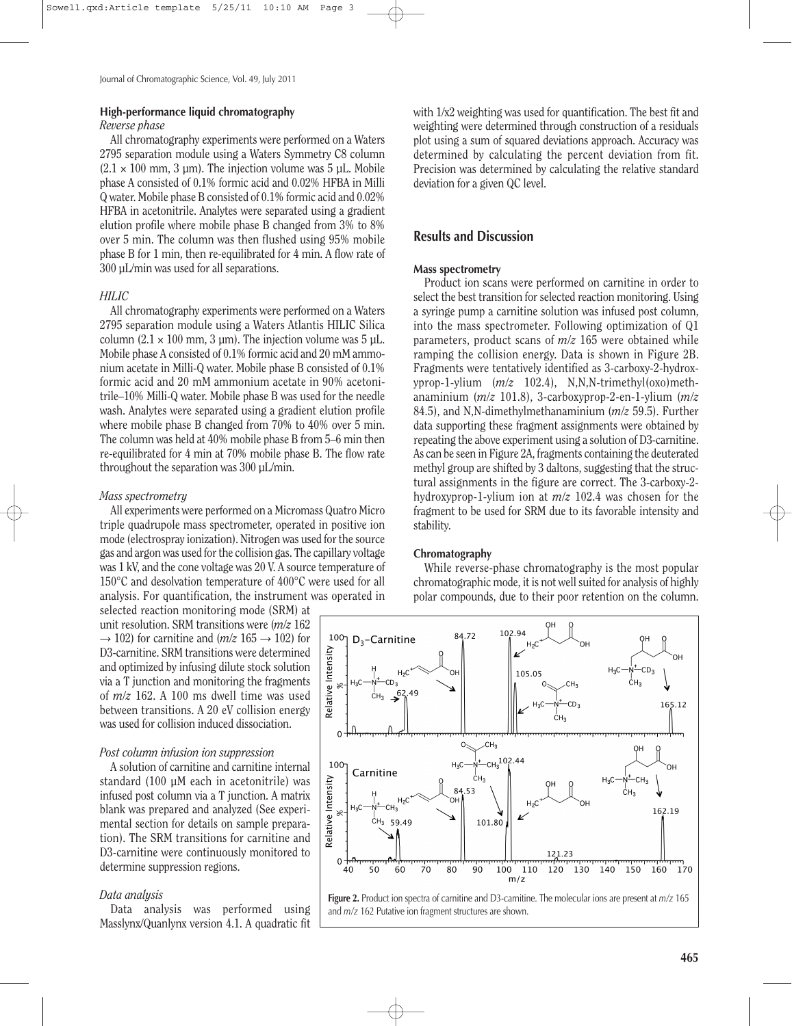## **High-performance liquid chromatography**

#### *Reverse phase*

All chromatography experiments were performed on a Waters 2795 separation module using a Waters Symmetry C8 column  $(2.1 \times 100 \text{ mm}, 3 \text{ um})$ . The injection volume was 5 uL. Mobile phase A consisted of 0.1% formic acid and 0.02% HFBA in Milli Q water. Mobile phase B consisted of 0.1% formic acid and 0.02% HFBA in acetonitrile. Analytes were separated using a gradient elution profile where mobile phase B changed from 3% to 8% over 5 min. The column was then flushed using 95% mobile phase B for 1 min, then re-equilibrated for 4 min. A flow rate of 300 µL/min was used for all separations.

## *HILIC*

All chromatography experiments were performed on a Waters 2795 separation module using a Waters Atlantis HILIC Silica column  $(2.1 \times 100 \text{ mm}, 3 \text{ µm})$ . The injection volume was  $5 \text{ µL}$ . Mobile phase A consisted of 0.1% formic acid and 20 mM ammonium acetate in Milli-Q water. Mobile phase B consisted of 0.1% formic acid and 20 mM ammonium acetate in 90% acetonitrile–10% Milli-Q water. Mobile phase B was used for the needle wash. Analytes were separated using a gradient elution profile where mobile phase B changed from 70% to 40% over 5 min. The column was held at 40% mobile phase B from 5–6 min then re-equilibrated for 4 min at 70% mobile phase B. The flow rate throughout the separation was  $300 \text{ uL/min}$ .

#### *Mass spectrometry*

All experiments were performed on a Micromass Quatro Micro triple quadrupole mass spectrometer, operated in positive ion mode (electrospray ionization). Nitrogen was used for the source gas and argon was used for the collision gas. The capillary voltage was 1 kV, and the cone voltage was 20 V. A source temperature of 150°C and desolvation temperature of 400°C were used for all analysis. For quantification, the instrument was operated in

selected reaction monitoring mode (SRM) at unit resolution. SRM transitions were (*m/z* 162  $\rightarrow$  102) for carnitine and (*m/z* 165  $\rightarrow$  102) for D3-carnitine. SRM transitions were determined and optimized by infusing dilute stock solution via a T junction and monitoring the fragments of *m/z* 162. A 100 ms dwell time was used between transitions. A 20 eV collision energy was used for collision induced dissociation.

## *Post column infusion ion suppression*

A solution of carnitine and carnitine internal standard (100 µM each in acetonitrile) was infused post column via a T junction. A matrix blank was prepared and analyzed (See experimental section for details on sample preparation). The SRM transitions for carnitine and D3-carnitine were continuously monitored to determine suppression regions.

#### *Data analysis*

Data analysis was performed using Masslynx/Quanlynx version 4.1. A quadratic fit with 1/x2 weighting was used for quantification. The best fit and weighting were determined through construction of a residuals plot using a sum of squared deviations approach. Accuracy was determined by calculating the percent deviation from fit. Precision was determined by calculating the relative standard deviation for a given QC level.

## **Results and Discussion**

## **Mass spectrometry**

Product ion scans were performed on carnitine in order to select the best transition for selected reaction monitoring. Using a syringe pump a carnitine solution was infused post column, into the mass spectrometer. Following optimization of Q1 parameters, product scans of *m/z* 165 were obtained while ramping the collision energy. Data is shown in Figure 2B. Fragments were tentatively identified as 3-carboxy-2-hydroxyprop-1-ylium (*m/z* 102.4), N,N,N-trimethyl(oxo)methanaminium (*m/z* 101.8), 3-carboxyprop-2-en-1-ylium (*m/z* 84.5), and N,N-dimethylmethanaminium (*m/z* 59.5). Further data supporting these fragment assignments were obtained by repeating the above experiment using a solution of D3-carnitine. As can be seen in Figure 2A, fragments containing the deuterated methyl group are shifted by 3 daltons, suggesting that the structural assignments in the figure are correct. The 3-carboxy-2 hydroxyprop-1-ylium ion at *m/z* 102.4 was chosen for the fragment to be used for SRM due to its favorable intensity and stability.

#### **Chromatography**

While reverse-phase chromatography is the most popular chromatographic mode, it is not well suited for analysis of highly polar compounds, due to their poor retention on the column.



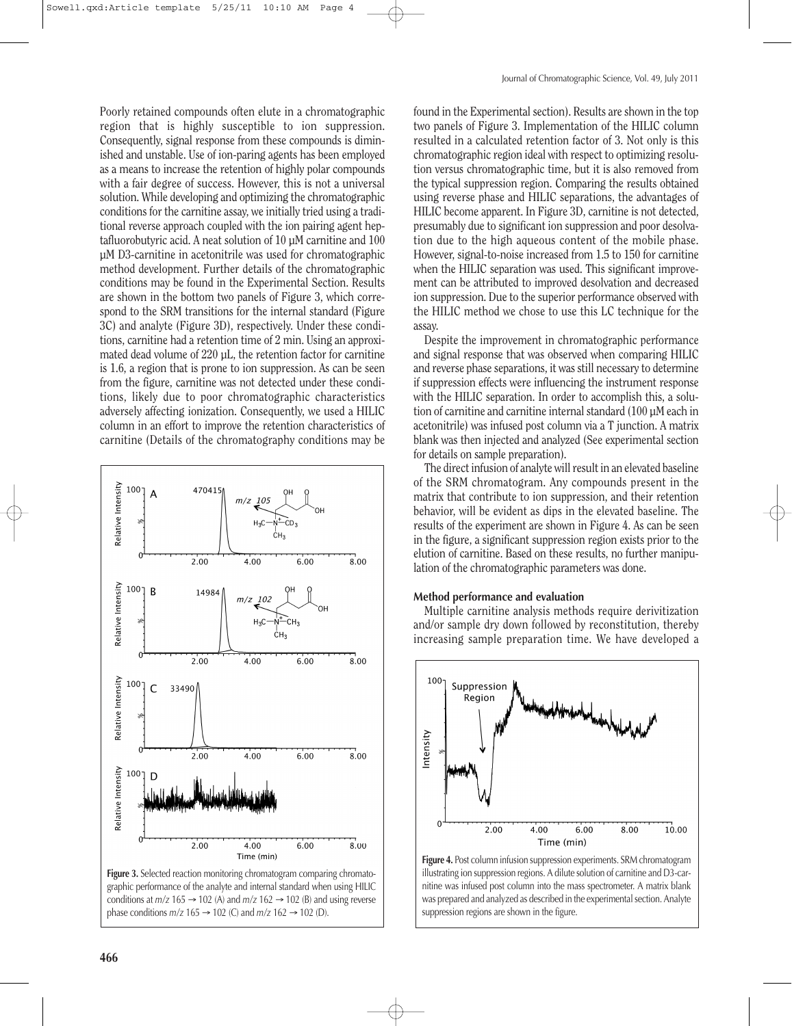Poorly retained compounds often elute in a chromatographic region that is highly susceptible to ion suppression. Consequently, signal response from these compounds is diminished and unstable. Use of ion-paring agents has been employed as a means to increase the retention of highly polar compounds with a fair degree of success. However, this is not a universal solution. While developing and optimizing the chromatographic conditions for the carnitine assay, we initially tried using a traditional reverse approach coupled with the ion pairing agent heptafluorobutyric acid. A neat solution of 10 µM carnitine and 100 µM D3-carnitine in acetonitrile was used for chromatographic method development. Further details of the chromatographic conditions may be found in the Experimental Section. Results are shown in the bottom two panels of Figure 3, which correspond to the SRM transitions for the internal standard (Figure 3C) and analyte (Figure 3D), respectively. Under these conditions, carnitine had a retention time of 2 min. Using an approximated dead volume of 220 µL, the retention factor for carnitine is 1.6, a region that is prone to ion suppression. As can be seen from the figure, carnitine was not detected under these conditions, likely due to poor chromatographic characteristics adversely affecting ionization. Consequently, we used a HILIC column in an effort to improve the retention characteristics of carnitine (Details of the chromatography conditions may be



found in the Experimental section). Results are shown in the top two panels of Figure 3. Implementation of the HILIC column resulted in a calculated retention factor of 3. Not only is this chromatographic region ideal with respect to optimizing resolution versus chromatographic time, but it is also removed from the typical suppression region. Comparing the results obtained using reverse phase and HILIC separations, the advantages of HILIC become apparent. In Figure 3D, carnitine is not detected, presumably due to significant ion suppression and poor desolvation due to the high aqueous content of the mobile phase. However, signal-to-noise increased from 1.5 to 150 for carnitine when the HILIC separation was used. This significant improvement can be attributed to improved desolvation and decreased ion suppression. Due to the superior performance observed with the HILIC method we chose to use this LC technique for the assay.

Despite the improvement in chromatographic performance and signal response that was observed when comparing HILIC and reverse phase separations, it was still necessary to determine if suppression effects were influencing the instrument response with the HILIC separation. In order to accomplish this, a solution of carnitine and carnitine internal standard (100 µM each in acetonitrile) was infused post column via a T junction. A matrix blank was then injected and analyzed (See experimental section for details on sample preparation).

The direct infusion of analyte will result in an elevated baseline of the SRM chromatogram. Any compounds present in the matrix that contribute to ion suppression, and their retention behavior, will be evident as dips in the elevated baseline. The results of the experiment are shown in Figure 4. As can be seen in the figure, a significant suppression region exists prior to the elution of carnitine. Based on these results, no further manipulation of the chromatographic parameters was done.

# **Method performance and evaluation**

Multiple carnitine analysis methods require derivitization and/or sample dry down followed by reconstitution, thereby increasing sample preparation time. We have developed a



**Figure 4.** Post column infusion suppression experiments. SRM chromatogram illustrating ion suppression regions. A dilute solution of carnitine and D3-carnitine was infused post column into the mass spectrometer. A matrix blank was prepared and analyzed as described in the experimental section. Analyte suppression regions are shown in the figure.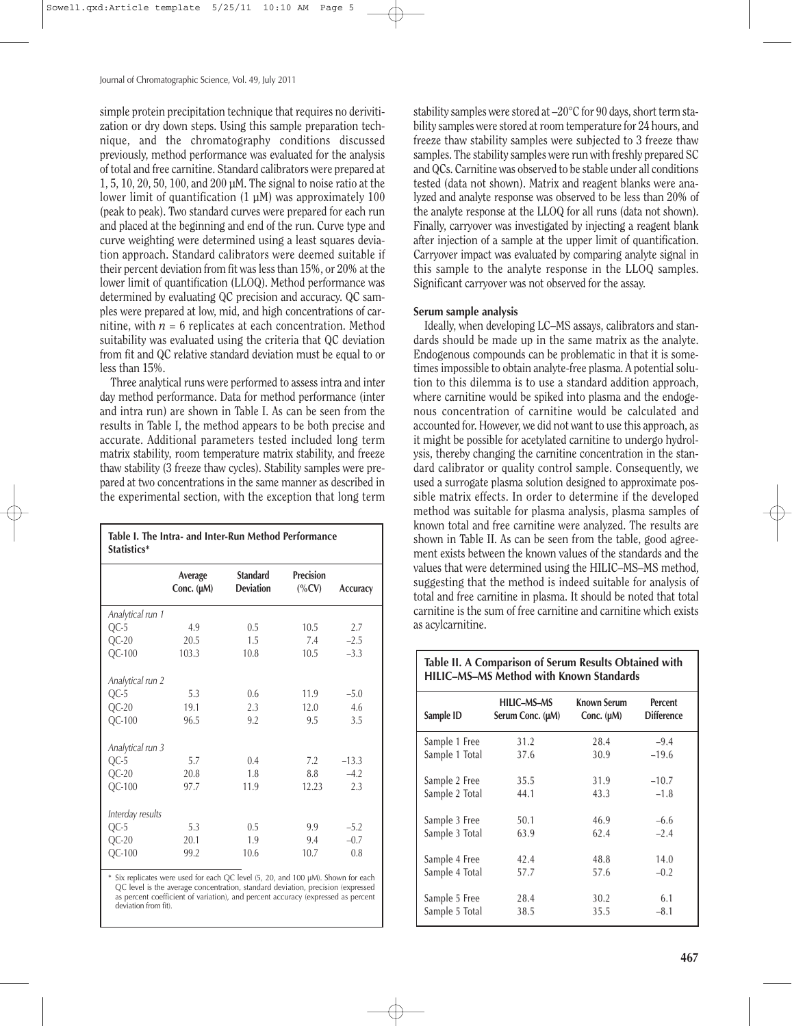simple protein precipitation technique that requires no derivitization or dry down steps. Using this sample preparation technique, and the chromatography conditions discussed previously, method performance was evaluated for the analysis of total and free carnitine. Standard calibrators were prepared at 1, 5, 10, 20, 50, 100, and 200 µM. The signal to noise ratio at the lower limit of quantification  $(1 \mu M)$  was approximately 100 (peak to peak). Two standard curves were prepared for each run and placed at the beginning and end of the run. Curve type and curve weighting were determined using a least squares deviation approach. Standard calibrators were deemed suitable if their percent deviation from fit was less than 15%, or 20% at the lower limit of quantification (LLOQ). Method performance was determined by evaluating QC precision and accuracy. QC samples were prepared at low, mid, and high concentrations of carnitine, with  $n = 6$  replicates at each concentration. Method suitability was evaluated using the criteria that QC deviation from fit and QC relative standard deviation must be equal to or less than 15%.

Three analytical runs were performed to assess intra and inter day method performance. Data for method performance (inter and intra run) are shown in Table I. As can be seen from the results in Table I, the method appears to be both precise and accurate. Additional parameters tested included long term matrix stability, room temperature matrix stability, and freeze thaw stability (3 freeze thaw cycles). Stability samples were prepared at two concentrations in the same manner as described in the experimental section, with the exception that long term

| Table I. The Intra- and Inter-Run Method Performance<br>Statistics* |                       |                                     |                              |          |  |
|---------------------------------------------------------------------|-----------------------|-------------------------------------|------------------------------|----------|--|
|                                                                     | Average<br>Conc. (µM) | <b>Standard</b><br><b>Deviation</b> | <b>Precision</b><br>$(\%CV)$ | Accuracy |  |
| Analytical run 1                                                    |                       |                                     |                              |          |  |
| $QC-5$                                                              | 4.9                   | 0.5                                 | 10.5                         | 2.7      |  |
| $QC-20$                                                             | 20.5                  | 1.5                                 | 7.4                          | $-2.5$   |  |
| QC-100                                                              | 103.3                 | 10.8                                | 10.5                         | $-3.3$   |  |
| Analytical run 2                                                    |                       |                                     |                              |          |  |
| $QC-5$                                                              | 5.3                   | 0.6                                 | 11.9                         | $-5.0$   |  |
| $QC-20$                                                             | 19.1                  | 2.3                                 | 12.0                         | 4.6      |  |
| $QC-100$                                                            | 96.5                  | 9.2                                 | 9.5                          | 3.5      |  |
| Analytical run 3                                                    |                       |                                     |                              |          |  |
| $QC-5$                                                              | 5.7                   | 0.4                                 | 7.2                          | $-13.3$  |  |
| $QC-20$                                                             | 20.8                  | 1.8                                 | 8.8                          | $-4.2$   |  |
| $QC-100$                                                            | 97.7                  | 11.9                                | 12.23                        | 2.3      |  |
| Interday results                                                    |                       |                                     |                              |          |  |
| $QC-5$                                                              | 5.3                   | 0.5                                 | 9.9                          | $-5.2$   |  |
| $QC-20$                                                             | 20.1                  | 1.9                                 | 9.4                          | $-0.7$   |  |
| $QC-100$                                                            | 99.2                  | 10.6                                | 10.7                         | 0.8      |  |

Six replicates were used for each QC level (5, 20, and 100 µM). Shown for each QC level is the average concentration, standard deviation, precision (expressed as percent coefficient of variation), and percent accuracy (expressed as percent deviation from fit).

stability samples were stored at –20°C for 90 days, short term stability samples were stored at room temperature for 24 hours, and freeze thaw stability samples were subjected to 3 freeze thaw samples. The stability samples were run with freshly prepared SC and QCs. Carnitine was observed to be stable under all conditions tested (data not shown). Matrix and reagent blanks were analyzed and analyte response was observed to be less than 20% of the analyte response at the LLOQ for all runs (data not shown). Finally, carryover was investigated by injecting a reagent blank after injection of a sample at the upper limit of quantification. Carryover impact was evaluated by comparing analyte signal in this sample to the analyte response in the LLOQ samples. Significant carryover was not observed for the assay.

#### **Serum sample analysis**

Ideally, when developing LC–MS assays, calibrators and standards should be made up in the same matrix as the analyte. Endogenous compounds can be problematic in that it is sometimes impossible to obtain analyte-free plasma. A potential solution to this dilemma is to use a standard addition approach, where carnitine would be spiked into plasma and the endogenous concentration of carnitine would be calculated and accounted for. However, we did not want to use this approach, as it might be possible for acetylated carnitine to undergo hydrolysis, thereby changing the carnitine concentration in the standard calibrator or quality control sample. Consequently, we used a surrogate plasma solution designed to approximate possible matrix effects. In order to determine if the developed method was suitable for plasma analysis, plasma samples of known total and free carnitine were analyzed. The results are shown in Table II. As can be seen from the table, good agreement exists between the known values of the standards and the values that were determined using the HILIC–MS–MS method, suggesting that the method is indeed suitable for analysis of total and free carnitine in plasma. It should be noted that total carnitine is the sum of free carnitine and carnitine which exists as acylcarnitine.

| Table II. A Comparison of Serum Results Obtained with<br><b>HILIC-MS-MS Method with Known Standards</b> |                                 |                                       |                              |  |  |
|---------------------------------------------------------------------------------------------------------|---------------------------------|---------------------------------------|------------------------------|--|--|
| Sample ID                                                                                               | HILIC-MS-MS<br>Serum Conc. (µM) | <b>Known Serum</b><br>Conc. $(\mu M)$ | Percent<br><b>Difference</b> |  |  |
| Sample 1 Free                                                                                           | 31.2                            | 28.4                                  | $-9.4$                       |  |  |
| Sample 1 Total                                                                                          | 37.6                            | 30.9                                  | $-19.6$                      |  |  |
| Sample 2 Free                                                                                           | 35.5                            | 31.9                                  | $-10.7$                      |  |  |
| Sample 2 Total                                                                                          | 44.1                            | 43.3                                  | $-1.8$                       |  |  |
| Sample 3 Free                                                                                           | 50.1                            | 46.9                                  | $-6.6$                       |  |  |
| Sample 3 Total                                                                                          | 63.9                            | 62.4                                  | $-2.4$                       |  |  |
| Sample 4 Free                                                                                           | 42.4                            | 48.8                                  | 14.0                         |  |  |
| Sample 4 Total                                                                                          | 57.7                            | 57.6                                  | $-0.2$                       |  |  |
| Sample 5 Free                                                                                           | 28.4                            | 30.2                                  | 6.1                          |  |  |
| Sample 5 Total                                                                                          | 38.5                            | 35.5                                  | $-8.1$                       |  |  |